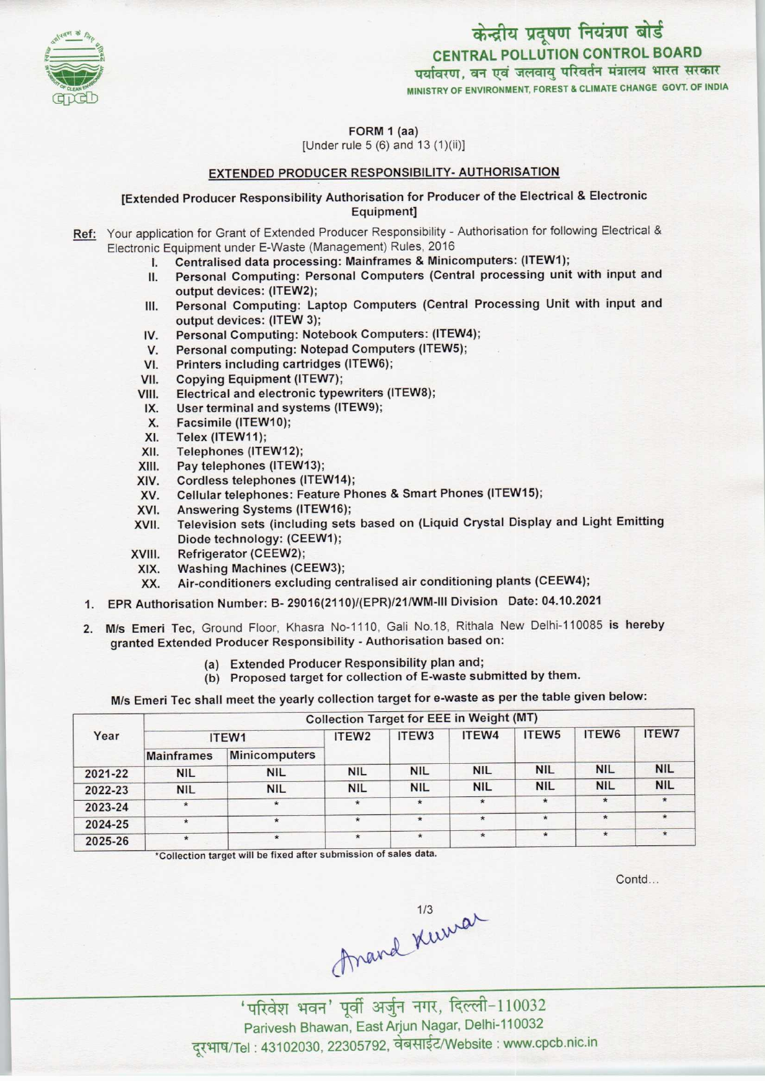

पर्यावरण, वन एवं जलवायु परिवर्तन मंत्रालय भारत सरकार MINISTRY OF ENVIRONMENT, FOREST S CLIMATE CHANGE GOVT. OF INDIA



FORM 1 (aa)

[Under rule 5 (6) and 13 (1)(ii)]

#### EXTENDED PRODUCER RESPONSIBILITY- AUTHORISATION

### [Extended Producer Responsibility Authorisation for Producer ofthe Electrical & Electronic Equipment]

- Ref: Your application for Grant of Extended Producer Responsibility Authorisation for following Electrical & Electronic Equipment under E-Waste (Management) Rules, 2016
	- I. Centralised data processing: Mainframes & Minicomputers: (ITEW1);
	- II. Personal Computing: Personal Computers (Central processing unit with input and output devices: (ITEW2);
	- III. Personal Computing: Laptop Computers (Central Processing Unit with input and output devices: (ITEW 3); III. Personal Computing: Laptop Computers (Central Foutput devices: (ITEW 3);<br>IV. Personal Computing: Notebook Computers: (ITEW4);<br>V. Personal computing: Notebook Computers (ITEW5);
	- Supplit devices: (ITEW 3);<br>V. Personal Computing: Notebook Computers: (ITEW<br>V. Personal computing: Notepad Computers (ITEW5);
	- IV. Personal Computing: Notebook Computers: (ITEW-<br>V. Personal computing: Notepad Computers (ITEW5);<br>VI. Printers including cartridges (ITEW6);<br>VII. Copying Equipment (ITEW7);
	-
	- VII. Copying Equipment (ITEW7);<br>VIII. Electrical and electronic type
	- VI. Printers including cartridges (ITEW6);<br>VIII. Copying Equipment (ITEW7);<br>VIII. Electrical and electronic typewriters (ITEW8); 7II. Copying Equipment (ITEW7);<br>III. Electrical and electronic typewriters<br>IX. User terminal and systems (ITEW9);<br>Y. Esesimile (ITEW10);
	- IX. User terminal and systems (ITEW9);<br>X. Facsimile (ITEW10);<br>XI. Telex (ITEW11);
	- X. Facsimile (ITEW10);<br>XI. Telex (ITEW11);<br>XII. Telephones (ITEW12
	-
	- XII. Telephones (ITEW12);<br>XIII. Pay telephones (ITEW
	- XIII. Pay telephones (ITEW13);<br>XIV. Cordless telephones (ITE)
	- XIV. Cordless telephones (ITEW14);<br>XV. Cellular telephones: Feature Ph
	- XIII. Pay telephones (ITEWT3);<br>XIV. Cordless telephones (ITEW14);<br>XV. Cellular telephones: Feature Phones & Smart Phones (ITEW15);
	- XIV. Cordiess telephones (ITEW14)<br>XV. Cellular telephones: Feature P<br>XVI. Answering Systems (ITEW16);<br>XVII. Television sets (including set
	- XVI. Answering Systems (ITEW16);<br>XVII. Television sets (including sets based on (Liquid Crystal Display and Light Emitting Diode technology: (CEEW1);
	- XVIII. Refrigerator (CEEW2);
	-
	- XIX. Washing Machines (CEEW3);<br>XX. Air-conditioners excluding ce Air-conditioners excluding centralised air conditioning plants (CEEW4);
	- 1.EPR Authorisation Number: B-29016(2110)/(EPR)/21/WM-lll Division Date: 04.10.2021
	- 2.M/s Emeri Tec, Ground Floor, Khasra No-1110, Gali No.18, Rithala New Delhi-110085 is hereby granted Extended Producer Responsibility - Authorisation based on:
		- (a)Extended Producer Responsibility plan and;
		- (b) Proposed target for collection of E-waste submitted by them.

M/s Emeri Tec shall meet the yearly collection target for e-waste as per the table given below:

| Year    | <b>Collection Target for EEE in Weight (MT)</b> |                      |                   |                   |            |                   |            |              |  |
|---------|-------------------------------------------------|----------------------|-------------------|-------------------|------------|-------------------|------------|--------------|--|
|         | ITEW1                                           |                      | ITEW <sub>2</sub> | ITEW <sub>3</sub> | ITEW4      | ITEW <sub>5</sub> | ITEW6      | <b>ITEW7</b> |  |
|         | <b>Mainframes</b>                               | <b>Minicomputers</b> |                   |                   |            |                   |            |              |  |
| 2021-22 | <b>NIL</b>                                      | <b>NIL</b>           | <b>NIL</b>        | <b>NIL</b>        | <b>NIL</b> | <b>NIL</b>        | <b>NIL</b> | <b>NIL</b>   |  |
| 2022-23 | <b>NIL</b>                                      | <b>NIL</b>           | <b>NIL</b>        | <b>NIL</b>        | <b>NIL</b> | <b>NIL</b>        | <b>NIL</b> | <b>NIL</b>   |  |
| 2023-24 | $\star$                                         | $\star$              | $\star$           | $\star$           | $\star$    | $\star$           | $\star$    | $\star$      |  |
| 2024-25 | $\star$                                         | $\star$              |                   | $\star$           | $\star$    | $\star$           | $\star$    |              |  |
| 2025-26 | $\star$                                         | $\star$              | $\star$           | $\star$           | $\star$    | $\star$           | $\star$    | $\star$      |  |

\*Collection target will be fixed after submission of sales data.

Contd...

Anard Kuwar

'परिवेश भवन' पूर्वी अर्जुन नगर, दिल्ली-110032 Parivesh Bhawan, EastArjun Nagar, Delhi-110032 दूरभाष/Tel : 43102030, 22305792, वेबसाईट/Website : www.cpcb.nic.in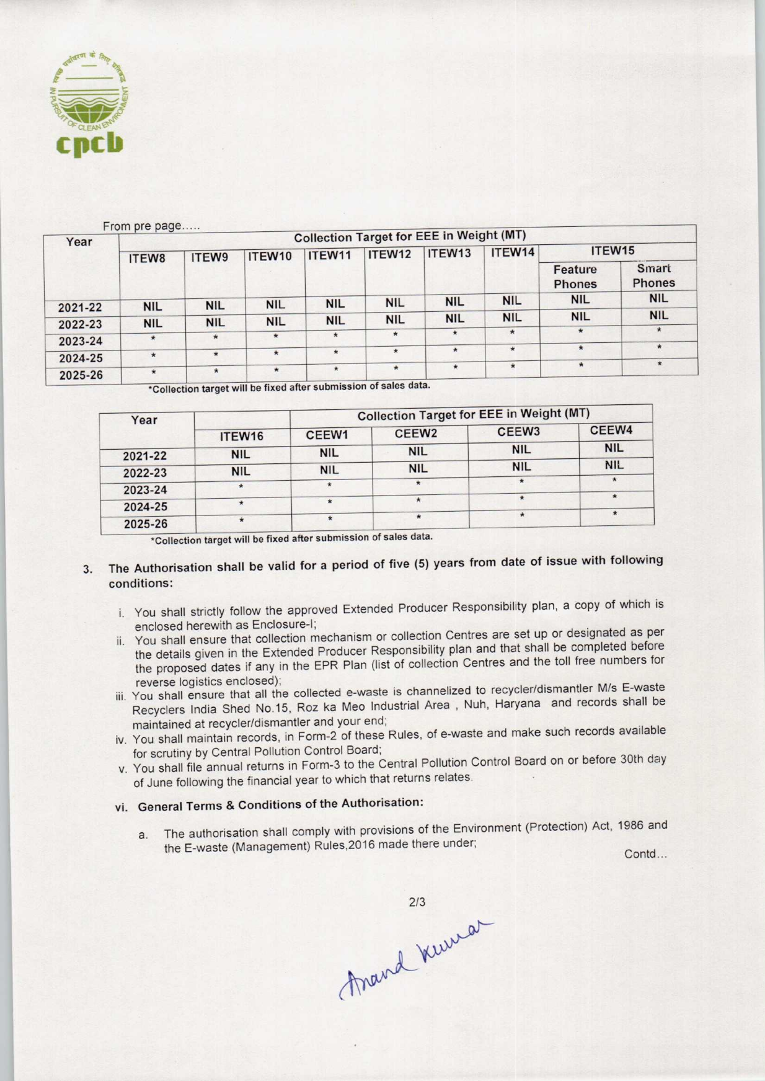

| Year               | From pre page<br><b>Collection Target for EEE in Weight (MT)</b> |            |            |            |            |                    |            |                          |                               |  |  |
|--------------------|------------------------------------------------------------------|------------|------------|------------|------------|--------------------|------------|--------------------------|-------------------------------|--|--|
|                    | ITEW8                                                            | ITEW9      | ITEW10     | ITEW11     | ITEW12     | ITEW <sub>13</sub> | ITEW14     | ITEW <sub>15</sub>       |                               |  |  |
|                    |                                                                  |            |            |            |            |                    |            | Feature<br><b>Phones</b> | <b>Smart</b><br><b>Phones</b> |  |  |
| 2021-22            | <b>NIL</b>                                                       | <b>NIL</b> | <b>NIL</b> | <b>NIL</b> | <b>NIL</b> | <b>NIL</b>         | <b>NIL</b> | <b>NIL</b>               | <b>NIL</b>                    |  |  |
| 2022-23            | <b>NIL</b>                                                       | <b>NIL</b> | <b>NIL</b> | <b>NIL</b> | <b>NIL</b> | <b>NIL</b>         | <b>NIL</b> | <b>NIL</b>               | <b>NIL</b>                    |  |  |
| 2023-24            | $\star$                                                          | $\star$    | $\star$    | $\star$    | $\star$    | $\star$            | $\star$    | $\star$                  | $\star$                       |  |  |
|                    | $\star$                                                          | $\star$    | $\star$    | $\star$    | $\star$    | $\star$            | $\star$    | $\star$                  | $\star$                       |  |  |
| 2024-25<br>2025-26 | $\star$                                                          | $\star$    | $\star$    | $\star$    | $\star$    | $\star$            | $\star$    | $\star$                  | $\star$                       |  |  |

\*Collection target will be fixed after submission of sales data.

| Year    |            | <b>Collection Target for EEE in Weight (MT)</b> |                   |                   |            |  |  |
|---------|------------|-------------------------------------------------|-------------------|-------------------|------------|--|--|
|         | ITEW16     | CEEW1                                           | CEEW <sub>2</sub> | CEEW <sub>3</sub> | CEEW4      |  |  |
| 2021-22 | <b>NIL</b> | <b>NIL</b>                                      | <b>NIL</b>        | <b>NIL</b>        | <b>NIL</b> |  |  |
| 2022-23 | <b>NIL</b> | <b>NIL</b>                                      | <b>NIL</b>        | <b>NIL</b>        | <b>NIL</b> |  |  |
| 2023-24 |            | $\star$                                         | $\star$           |                   |            |  |  |
| 2024-25 |            | $\star$                                         | $\star$           | $\star$           | $\star$    |  |  |
| 2025-26 | $\star$    | $\star$                                         | $\star$           |                   | $\star$    |  |  |

\*Collection target will be fixed after submission of sales data.

# 3. The Authorisation shall be valid for a period of five (5) years from date of issue with following conditions:

- i. You shall strictly follow the approved Extended Producer Responsibility plan, a copy of which is enclosed herewith as Enclosure-I;
- ii. You shall ensure that collection mechanism or collection Centres are set up or designated as per the details given in the Extended Producer Responsibility plan and that shall be completed before the proposed dates if any in the EPR Plan (list of collection Centres and the toll free numbers for reverse logistics enclosed); manie mentic untercular mention and that shall any end that shall any proposed dates if any in the Extended Producer Responsibility plan and that shall repoposed dates if any in the EPR Plan (list of collection Centres and
- iii. You shall ensure that all the collected e-waste is channelized to recycler/dismantler M/s E-waste Recyclers India Shed No.15, Roz ka Meo Industrial Area , Nuh, Haryana and records shall be maintained at recycler/dismantler and your end;
- iv. You shall maintain records, in Form-2 of these Rules, of e-waste and make such records available for scrutiny by Central Pollution Control Board;
- v. You shall file annual returns in Form-3 to the Central Pollution Control Board on or before 30th day of June following the financial year to which that returns relates.

## vi. General Terms & Conditions of the Authorisation:

a. The authorisation shall comply with provisions of the Environment (Protection) Act, 1986 and ection) Act, 1986 and<br>Contd...

Anand Kurra